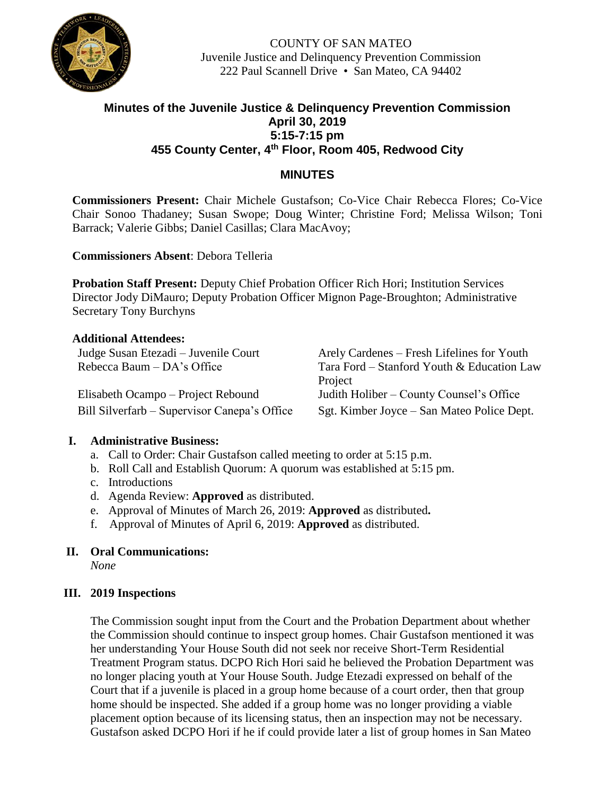

COUNTY OF SAN MATEO Juvenile Justice and Delinquency Prevention Commission 222 Paul Scannell Drive • San Mateo, CA 94402

# **Minutes of the Juvenile Justice & Delinquency Prevention Commission April 30, 2019 5:15-7:15 pm 455 County Center, 4th Floor, Room 405, Redwood City**

## **MINUTES**

**Commissioners Present:** Chair Michele Gustafson; Co-Vice Chair Rebecca Flores; Co-Vice Chair Sonoo Thadaney; Susan Swope; Doug Winter; Christine Ford; Melissa Wilson; Toni Barrack; Valerie Gibbs; Daniel Casillas; Clara MacAvoy;

**Commissioners Absent**: Debora Telleria

**Probation Staff Present:** Deputy Chief Probation Officer Rich Hori; Institution Services Director Jody DiMauro; Deputy Probation Officer Mignon Page-Broughton; Administrative Secretary Tony Burchyns

### **Additional Attendees:**

Elisabeth Ocampo – Project Rebound Judith Holiber – County Counsel's Office

Judge Susan Etezadi – Juvenile Court Arely Cardenes – Fresh Lifelines for Youth Rebecca Baum – DA's Office Tara Ford – Stanford Youth & Education Law Project Bill Silverfarb – Supervisor Canepa's Office Sgt. Kimber Joyce – San Mateo Police Dept.

### **I. Administrative Business:**

- a. Call to Order: Chair Gustafson called meeting to order at 5:15 p.m.
- b. Roll Call and Establish Quorum: A quorum was established at 5:15 pm.
- c. Introductions
- d. Agenda Review: **Approved** as distributed.
- e. Approval of Minutes of March 26, 2019: **Approved** as distributed**.**
- f. Approval of Minutes of April 6, 2019: **Approved** as distributed.

### **II. Oral Communications:**

*None*

### **III. 2019 Inspections**

The Commission sought input from the Court and the Probation Department about whether the Commission should continue to inspect group homes. Chair Gustafson mentioned it was her understanding Your House South did not seek nor receive Short-Term Residential Treatment Program status. DCPO Rich Hori said he believed the Probation Department was no longer placing youth at Your House South. Judge Etezadi expressed on behalf of the Court that if a juvenile is placed in a group home because of a court order, then that group home should be inspected. She added if a group home was no longer providing a viable placement option because of its licensing status, then an inspection may not be necessary. Gustafson asked DCPO Hori if he if could provide later a list of group homes in San Mateo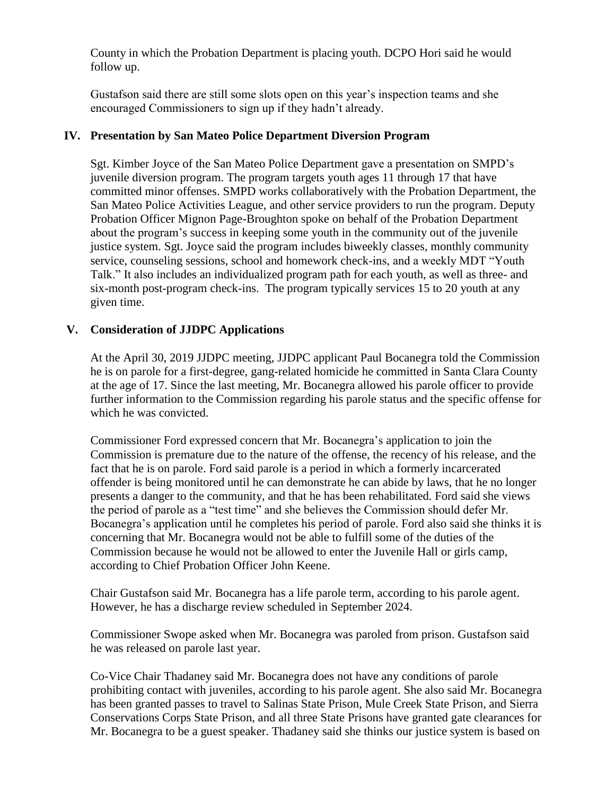County in which the Probation Department is placing youth. DCPO Hori said he would follow up.

Gustafson said there are still some slots open on this year's inspection teams and she encouraged Commissioners to sign up if they hadn't already.

## **IV. Presentation by San Mateo Police Department Diversion Program**

Sgt. Kimber Joyce of the San Mateo Police Department gave a presentation on SMPD's juvenile diversion program. The program targets youth ages 11 through 17 that have committed minor offenses. SMPD works collaboratively with the Probation Department, the San Mateo Police Activities League, and other service providers to run the program. Deputy Probation Officer Mignon Page-Broughton spoke on behalf of the Probation Department about the program's success in keeping some youth in the community out of the juvenile justice system. Sgt. Joyce said the program includes biweekly classes, monthly community service, counseling sessions, school and homework check-ins, and a weekly MDT "Youth Talk." It also includes an individualized program path for each youth, as well as three- and six-month post-program check-ins. The program typically services 15 to 20 youth at any given time.

### **V. Consideration of JJDPC Applications**

At the April 30, 2019 JJDPC meeting, JJDPC applicant Paul Bocanegra told the Commission he is on parole for a first-degree, gang-related homicide he committed in Santa Clara County at the age of 17. Since the last meeting, Mr. Bocanegra allowed his parole officer to provide further information to the Commission regarding his parole status and the specific offense for which he was convicted.

Commissioner Ford expressed concern that Mr. Bocanegra's application to join the Commission is premature due to the nature of the offense, the recency of his release, and the fact that he is on parole. Ford said parole is a period in which a formerly incarcerated offender is being monitored until he can demonstrate he can abide by laws, that he no longer presents a danger to the community, and that he has been rehabilitated. Ford said she views the period of parole as a "test time" and she believes the Commission should defer Mr. Bocanegra's application until he completes his period of parole. Ford also said she thinks it is concerning that Mr. Bocanegra would not be able to fulfill some of the duties of the Commission because he would not be allowed to enter the Juvenile Hall or girls camp, according to Chief Probation Officer John Keene.

Chair Gustafson said Mr. Bocanegra has a life parole term, according to his parole agent. However, he has a discharge review scheduled in September 2024.

Commissioner Swope asked when Mr. Bocanegra was paroled from prison. Gustafson said he was released on parole last year.

Co-Vice Chair Thadaney said Mr. Bocanegra does not have any conditions of parole prohibiting contact with juveniles, according to his parole agent. She also said Mr. Bocanegra has been granted passes to travel to Salinas State Prison, Mule Creek State Prison, and Sierra Conservations Corps State Prison, and all three State Prisons have granted gate clearances for Mr. Bocanegra to be a guest speaker. Thadaney said she thinks our justice system is based on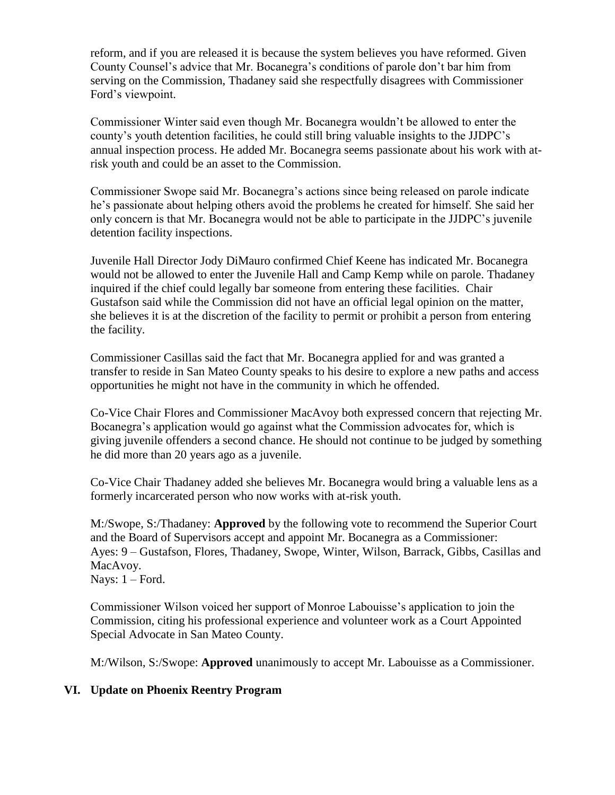reform, and if you are released it is because the system believes you have reformed. Given County Counsel's advice that Mr. Bocanegra's conditions of parole don't bar him from serving on the Commission, Thadaney said she respectfully disagrees with Commissioner Ford's viewpoint.

Commissioner Winter said even though Mr. Bocanegra wouldn't be allowed to enter the county's youth detention facilities, he could still bring valuable insights to the JJDPC's annual inspection process. He added Mr. Bocanegra seems passionate about his work with atrisk youth and could be an asset to the Commission.

Commissioner Swope said Mr. Bocanegra's actions since being released on parole indicate he's passionate about helping others avoid the problems he created for himself. She said her only concern is that Mr. Bocanegra would not be able to participate in the JJDPC's juvenile detention facility inspections.

Juvenile Hall Director Jody DiMauro confirmed Chief Keene has indicated Mr. Bocanegra would not be allowed to enter the Juvenile Hall and Camp Kemp while on parole. Thadaney inquired if the chief could legally bar someone from entering these facilities. Chair Gustafson said while the Commission did not have an official legal opinion on the matter, she believes it is at the discretion of the facility to permit or prohibit a person from entering the facility.

Commissioner Casillas said the fact that Mr. Bocanegra applied for and was granted a transfer to reside in San Mateo County speaks to his desire to explore a new paths and access opportunities he might not have in the community in which he offended.

Co-Vice Chair Flores and Commissioner MacAvoy both expressed concern that rejecting Mr. Bocanegra's application would go against what the Commission advocates for, which is giving juvenile offenders a second chance. He should not continue to be judged by something he did more than 20 years ago as a juvenile.

Co-Vice Chair Thadaney added she believes Mr. Bocanegra would bring a valuable lens as a formerly incarcerated person who now works with at-risk youth.

M:/Swope, S:/Thadaney: **Approved** by the following vote to recommend the Superior Court and the Board of Supervisors accept and appoint Mr. Bocanegra as a Commissioner: Ayes: 9 – Gustafson, Flores, Thadaney, Swope, Winter, Wilson, Barrack, Gibbs, Casillas and MacAvoy.

Nays:  $1 -$  Ford.

Commissioner Wilson voiced her support of Monroe Labouisse's application to join the Commission, citing his professional experience and volunteer work as a Court Appointed Special Advocate in San Mateo County.

M:/Wilson, S:/Swope: **Approved** unanimously to accept Mr. Labouisse as a Commissioner.

# **VI. Update on Phoenix Reentry Program**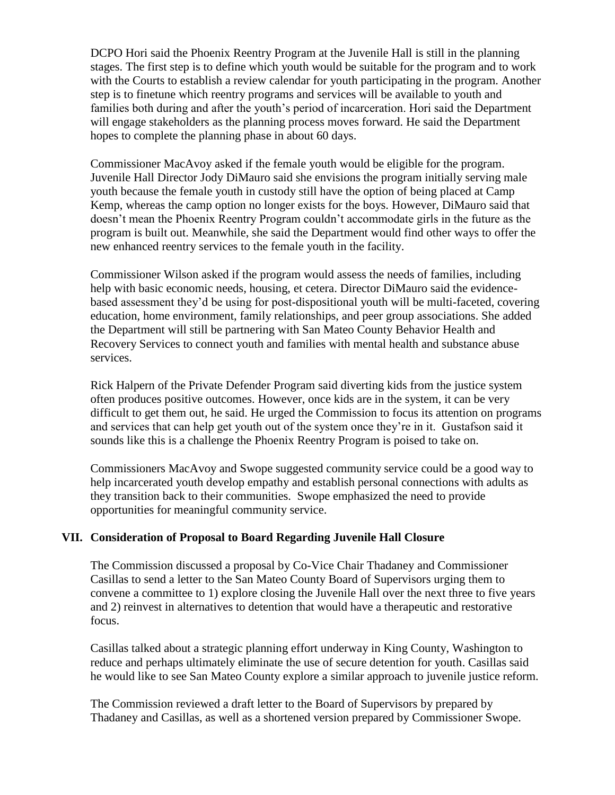DCPO Hori said the Phoenix Reentry Program at the Juvenile Hall is still in the planning stages. The first step is to define which youth would be suitable for the program and to work with the Courts to establish a review calendar for youth participating in the program. Another step is to finetune which reentry programs and services will be available to youth and families both during and after the youth's period of incarceration. Hori said the Department will engage stakeholders as the planning process moves forward. He said the Department hopes to complete the planning phase in about 60 days.

Commissioner MacAvoy asked if the female youth would be eligible for the program. Juvenile Hall Director Jody DiMauro said she envisions the program initially serving male youth because the female youth in custody still have the option of being placed at Camp Kemp, whereas the camp option no longer exists for the boys. However, DiMauro said that doesn't mean the Phoenix Reentry Program couldn't accommodate girls in the future as the program is built out. Meanwhile, she said the Department would find other ways to offer the new enhanced reentry services to the female youth in the facility.

Commissioner Wilson asked if the program would assess the needs of families, including help with basic economic needs, housing, et cetera. Director DiMauro said the evidencebased assessment they'd be using for post-dispositional youth will be multi-faceted, covering education, home environment, family relationships, and peer group associations. She added the Department will still be partnering with San Mateo County Behavior Health and Recovery Services to connect youth and families with mental health and substance abuse services.

Rick Halpern of the Private Defender Program said diverting kids from the justice system often produces positive outcomes. However, once kids are in the system, it can be very difficult to get them out, he said. He urged the Commission to focus its attention on programs and services that can help get youth out of the system once they're in it. Gustafson said it sounds like this is a challenge the Phoenix Reentry Program is poised to take on.

Commissioners MacAvoy and Swope suggested community service could be a good way to help incarcerated youth develop empathy and establish personal connections with adults as they transition back to their communities. Swope emphasized the need to provide opportunities for meaningful community service.

### **VII. Consideration of Proposal to Board Regarding Juvenile Hall Closure**

The Commission discussed a proposal by Co-Vice Chair Thadaney and Commissioner Casillas to send a letter to the San Mateo County Board of Supervisors urging them to convene a committee to 1) explore closing the Juvenile Hall over the next three to five years and 2) reinvest in alternatives to detention that would have a therapeutic and restorative focus.

Casillas talked about a strategic planning effort underway in King County, Washington to reduce and perhaps ultimately eliminate the use of secure detention for youth. Casillas said he would like to see San Mateo County explore a similar approach to juvenile justice reform.

The Commission reviewed a draft letter to the Board of Supervisors by prepared by Thadaney and Casillas, as well as a shortened version prepared by Commissioner Swope.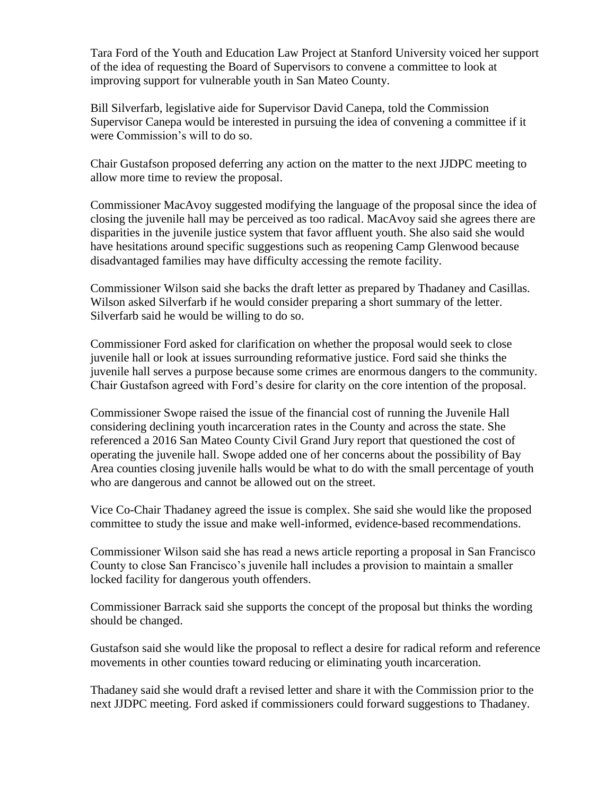Tara Ford of the Youth and Education Law Project at Stanford University voiced her support of the idea of requesting the Board of Supervisors to convene a committee to look at improving support for vulnerable youth in San Mateo County.

Bill Silverfarb, legislative aide for Supervisor David Canepa, told the Commission Supervisor Canepa would be interested in pursuing the idea of convening a committee if it were Commission's will to do so.

Chair Gustafson proposed deferring any action on the matter to the next JJDPC meeting to allow more time to review the proposal.

Commissioner MacAvoy suggested modifying the language of the proposal since the idea of closing the juvenile hall may be perceived as too radical. MacAvoy said she agrees there are disparities in the juvenile justice system that favor affluent youth. She also said she would have hesitations around specific suggestions such as reopening Camp Glenwood because disadvantaged families may have difficulty accessing the remote facility.

Commissioner Wilson said she backs the draft letter as prepared by Thadaney and Casillas. Wilson asked Silverfarb if he would consider preparing a short summary of the letter. Silverfarb said he would be willing to do so.

Commissioner Ford asked for clarification on whether the proposal would seek to close juvenile hall or look at issues surrounding reformative justice. Ford said she thinks the juvenile hall serves a purpose because some crimes are enormous dangers to the community. Chair Gustafson agreed with Ford's desire for clarity on the core intention of the proposal.

Commissioner Swope raised the issue of the financial cost of running the Juvenile Hall considering declining youth incarceration rates in the County and across the state. She referenced a 2016 San Mateo County Civil Grand Jury report that questioned the cost of operating the juvenile hall. Swope added one of her concerns about the possibility of Bay Area counties closing juvenile halls would be what to do with the small percentage of youth who are dangerous and cannot be allowed out on the street.

Vice Co-Chair Thadaney agreed the issue is complex. She said she would like the proposed committee to study the issue and make well-informed, evidence-based recommendations.

Commissioner Wilson said she has read a news article reporting a proposal in San Francisco County to close San Francisco's juvenile hall includes a provision to maintain a smaller locked facility for dangerous youth offenders.

Commissioner Barrack said she supports the concept of the proposal but thinks the wording should be changed.

Gustafson said she would like the proposal to reflect a desire for radical reform and reference movements in other counties toward reducing or eliminating youth incarceration.

Thadaney said she would draft a revised letter and share it with the Commission prior to the next JJDPC meeting. Ford asked if commissioners could forward suggestions to Thadaney.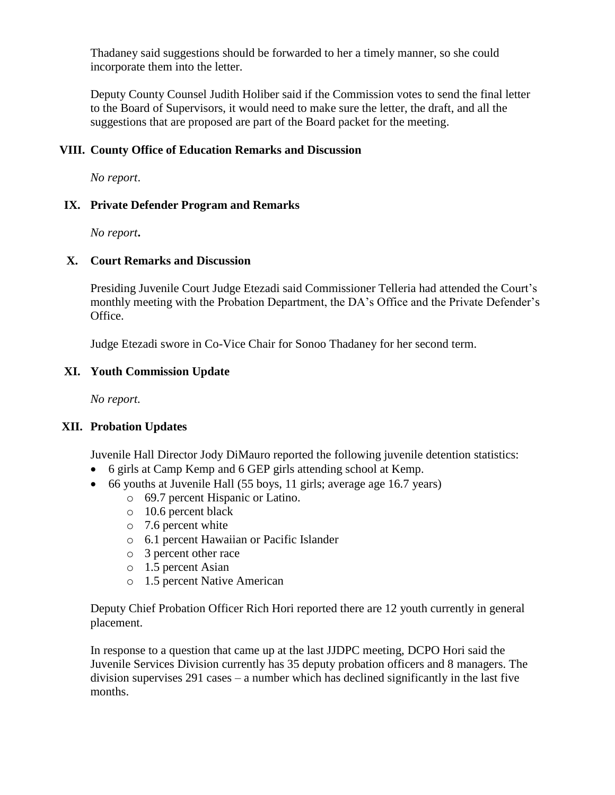Thadaney said suggestions should be forwarded to her a timely manner, so she could incorporate them into the letter.

Deputy County Counsel Judith Holiber said if the Commission votes to send the final letter to the Board of Supervisors, it would need to make sure the letter, the draft, and all the suggestions that are proposed are part of the Board packet for the meeting.

#### **VIII. County Office of Education Remarks and Discussion**

*No report*.

#### **IX. Private Defender Program and Remarks**

*No report***.**

#### **X. Court Remarks and Discussion**

Presiding Juvenile Court Judge Etezadi said Commissioner Telleria had attended the Court's monthly meeting with the Probation Department, the DA's Office and the Private Defender's Office.

Judge Etezadi swore in Co-Vice Chair for Sonoo Thadaney for her second term.

### **XI. Youth Commission Update**

*No report.*

### **XII. Probation Updates**

Juvenile Hall Director Jody DiMauro reported the following juvenile detention statistics:

- 6 girls at Camp Kemp and 6 GEP girls attending school at Kemp.
- 66 youths at Juvenile Hall (55 boys, 11 girls; average age 16.7 years)
	- o 69.7 percent Hispanic or Latino.
	- o 10.6 percent black
	- o 7.6 percent white
	- o 6.1 percent Hawaiian or Pacific Islander
	- o 3 percent other race
	- o 1.5 percent Asian
	- o 1.5 percent Native American

Deputy Chief Probation Officer Rich Hori reported there are 12 youth currently in general placement.

In response to a question that came up at the last JJDPC meeting, DCPO Hori said the Juvenile Services Division currently has 35 deputy probation officers and 8 managers. The division supervises 291 cases – a number which has declined significantly in the last five months.